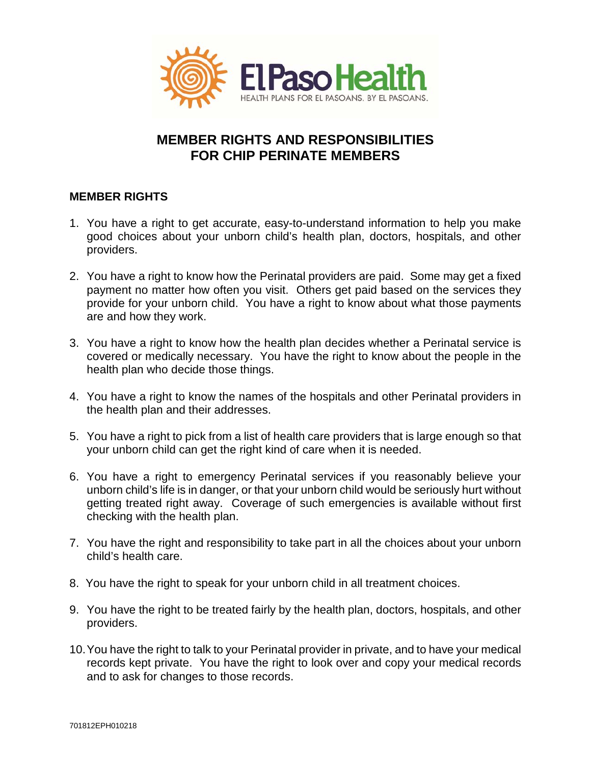

## **MEMBER RIGHTS AND RESPONSIBILITIES FOR CHIP PERINATE MEMBERS**

## **MEMBER RIGHTS**

- 1. You have a right to get accurate, easy-to-understand information to help you make good choices about your unborn child's health plan, doctors, hospitals, and other providers.
- 2. You have a right to know how the Perinatal providers are paid. Some may get a fixed payment no matter how often you visit. Others get paid based on the services they provide for your unborn child. You have a right to know about what those payments are and how they work.
- 3. You have a right to know how the health plan decides whether a Perinatal service is covered or medically necessary. You have the right to know about the people in the health plan who decide those things.
- 4. You have a right to know the names of the hospitals and other Perinatal providers in the health plan and their addresses.
- 5. You have a right to pick from a list of health care providers that is large enough so that your unborn child can get the right kind of care when it is needed.
- 6. You have a right to emergency Perinatal services if you reasonably believe your unborn child's life is in danger, or that your unborn child would be seriously hurt without getting treated right away. Coverage of such emergencies is available without first checking with the health plan.
- 7. You have the right and responsibility to take part in all the choices about your unborn child's health care.
- 8. You have the right to speak for your unborn child in all treatment choices.
- 9. You have the right to be treated fairly by the health plan, doctors, hospitals, and other providers.
- 10.You have the right to talk to your Perinatal provider in private, and to have your medical records kept private. You have the right to look over and copy your medical records and to ask for changes to those records.